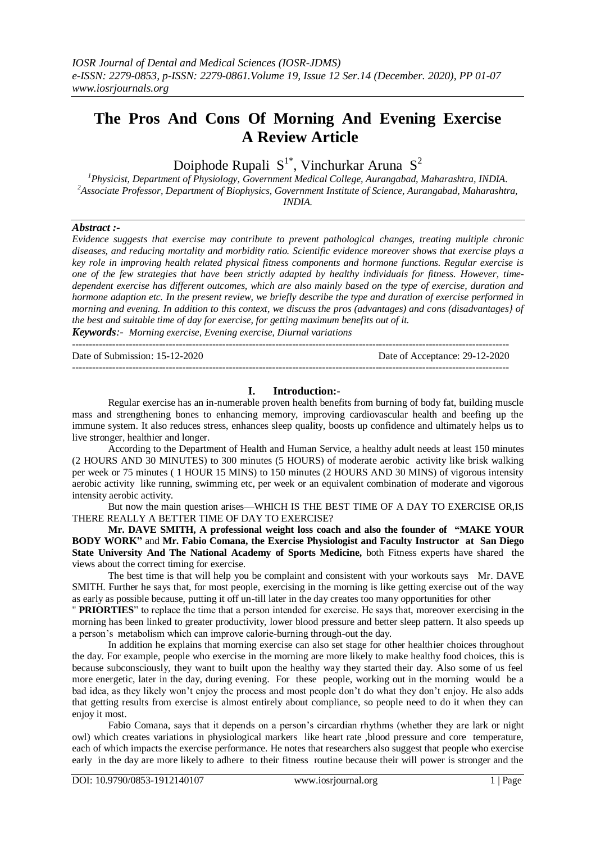# **The Pros And Cons Of Morning And Evening Exercise A Review Article**

Doiphode Rupali  $S^{1*}$ , Vinchurkar Aruna  $S^2$ 

*<sup>1</sup>Physicist, Department of Physiology, Government Medical College, Aurangabad, Maharashtra, INDIA. <sup>2</sup>Associate Professor, Department of Biophysics, Government Institute of Science, Aurangabad, Maharashtra, INDIA.*

# *Abstract :-*

*Evidence suggests that exercise may contribute to prevent pathological changes, treating multiple chronic diseases, and reducing mortality and morbidity ratio. Scientific evidence moreover shows that exercise plays a key role in improving health related physical fitness components and hormone functions. Regular exercise is one of the few strategies that have been strictly adapted by healthy individuals for fitness. However, timedependent exercise has different outcomes, which are also mainly based on the type of exercise, duration and hormone adaption etc. In the present review, we briefly describe the type and duration of exercise performed in morning and evening. In addition to this context, we discuss the pros (advantages) and cons (disadvantages} of the best and suitable time of day for exercise, for getting maximum benefits out of it.*

*Keywords:- Morning exercise, Evening exercise, Diurnal variations* -----------------------------------------------------------------------------------------------------------------------------------

Date of Submission: 15-12-2020 Date of Acceptance: 29-12-2020

-----------------------------------------------------------------------------------------------------------------------------------

# **I. Introduction:-**

Regular exercise has an in-numerable proven health benefits from burning of body fat, building muscle mass and strengthening bones to enhancing memory, improving cardiovascular health and beefing up the immune system. It also reduces stress, enhances sleep quality, boosts up confidence and ultimately helps us to live stronger, healthier and longer.

According to the Department of Health and Human Service, a healthy adult needs at least 150 minutes (2 HOURS AND 30 MINUTES) to 300 minutes (5 HOURS) of moderate aerobic activity like brisk walking per week or 75 minutes ( 1 HOUR 15 MINS) to 150 minutes (2 HOURS AND 30 MINS) of vigorous intensity aerobic activity like running, swimming etc, per week or an equivalent combination of moderate and vigorous intensity aerobic activity.

But now the main question arises—WHICH IS THE BEST TIME OF A DAY TO EXERCISE OR,IS THERE REALLY A BETTER TIME OF DAY TO EXERCISE?

**Mr. DAVE SMITH, A professional weight loss coach and also the founder of "MAKE YOUR BODY WORK"** and **Mr. Fabio Comana, the Exercise Physiologist and Faculty Instructor at San Diego State University And The National Academy of Sports Medicine,** both Fitness experts have shared the views about the correct timing for exercise.

The best time is that will help you be complaint and consistent with your workouts says Mr. DAVE SMITH. Further he says that, for most people, exercising in the morning is like getting exercise out of the way as early as possible because, putting it off un-till later in the day creates too many opportunities for other

" **PRIORTIES**" to replace the time that a person intended for exercise. He says that, moreover exercising in the morning has been linked to greater productivity, lower blood pressure and better sleep pattern. It also speeds up a person's metabolism which can improve calorie-burning through-out the day.

In addition he explains that morning exercise can also set stage for other healthier choices throughout the day. For example, people who exercise in the morning are more likely to make healthy food choices, this is because subconsciously, they want to built upon the healthy way they started their day. Also some of us feel more energetic, later in the day, during evening. For these people, working out in the morning would be a bad idea, as they likely won't enjoy the process and most people don't do what they don't enjoy. He also adds that getting results from exercise is almost entirely about compliance, so people need to do it when they can enjoy it most.

Fabio Comana, says that it depends on a person's circardian rhythms (whether they are lark or night owl) which creates variations in physiological markers like heart rate ,blood pressure and core temperature, each of which impacts the exercise performance. He notes that researchers also suggest that people who exercise early in the day are more likely to adhere to their fitness routine because their will power is stronger and the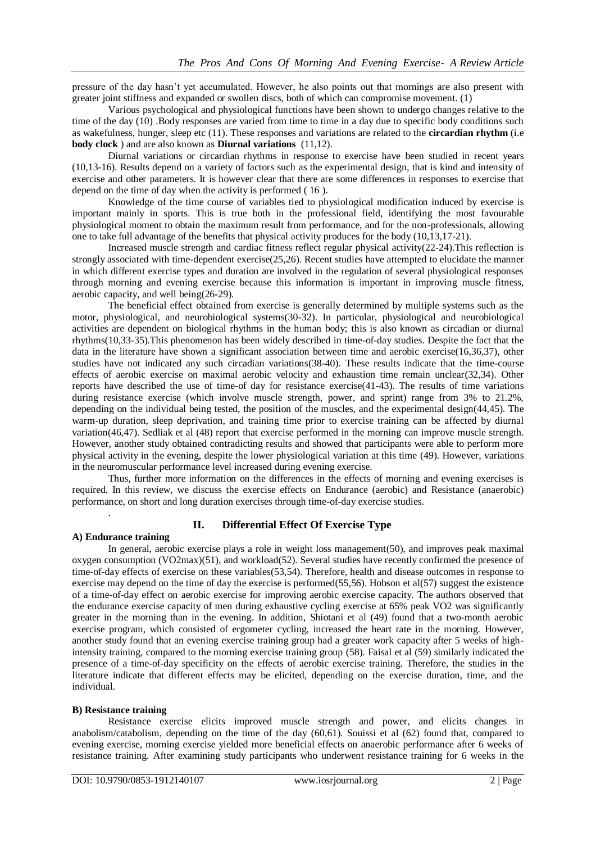pressure of the day hasn't yet accumulated. However, he also points out that mornings are also present with greater joint stiffness and expanded or swollen discs, both of which can compromise movement.  $(1)$ 

Various psychological and physiological functions have been shown to undergo changes relative to the time of the day (10) .Body responses are varied from time to time in a day due to specific body conditions such as wakefulness, hunger, sleep etc (11). These responses and variations are related to the **circardian rhythm** (i.e **body clock** ) and are also known as **Diurnal variations** (11,12).

Diurnal variations or circardian rhythms in response to exercise have been studied in recent years (10,13-16). Results depend on a variety of factors such as the experimental design, that is kind and intensity of exercise and other parameters. It is however clear that there are some differences in responses to exercise that depend on the time of day when the activity is performed ( 16 ).

Knowledge of the time course of variables tied to physiological modification induced by exercise is important mainly in sports. This is true both in the professional field, identifying the most favourable physiological moment to obtain the maximum result from performance, and for the non-professionals, allowing one to take full advantage of the benefits that physical activity produces for the body (10,13,17-21).

Increased muscle strength and cardiac fitness reflect regular physical activity(22-24).This reflection is strongly associated with time-dependent exercise(25,26). Recent studies have attempted to elucidate the manner in which different exercise types and duration are involved in the regulation of several physiological responses through morning and evening exercise because this information is important in improving muscle fitness, aerobic capacity, and well being(26-29).

The beneficial effect obtained from exercise is generally determined by multiple systems such as the motor, physiological, and neurobiological systems(30-32). In particular, physiological and neurobiological activities are dependent on biological rhythms in the human body; this is also known as circadian or diurnal rhythms(10,33-35).This phenomenon has been widely described in time-of-day studies. Despite the fact that the data in the literature have shown a significant association between time and aerobic exercise(16,36,37), other studies have not indicated any such circadian variations(38-40). These results indicate that the time-course effects of aerobic exercise on maximal aerobic velocity and exhaustion time remain unclear(32,34). Other reports have described the use of time-of day for resistance exercise(41-43). The results of time variations during resistance exercise (which involve muscle strength, power, and sprint) range from 3% to 21.2%, depending on the individual being tested, the position of the muscles, and the experimental design(44,45). The warm-up duration, sleep deprivation, and training time prior to exercise training can be affected by diurnal variation(46,47). Sedliak et al (48) report that exercise performed in the morning can improve muscle strength. However, another study obtained contradicting results and showed that participants were able to perform more physical activity in the evening, despite the lower physiological variation at this time (49). However, variations in the neuromuscular performance level increased during evening exercise.

Thus, further more information on the differences in the effects of morning and evening exercises is required. In this review, we discuss the exercise effects on Endurance (aerobic) and Resistance (anaerobic) performance, on short and long duration exercises through time-of-day exercise studies.

# **II. Differential Effect Of Exercise Type**

# **A) Endurance training**

.

In general, aerobic exercise plays a role in weight loss management(50), and improves peak maximal oxygen consumption (VO2max) $(51)$ , and workload $(52)$ . Several studies have recently confirmed the presence of time-of-day effects of exercise on these variables(53,54). Therefore, health and disease outcomes in response to exercise may depend on the time of day the exercise is performed(55,56). Hobson et al(57) suggest the existence of a time-of-day effect on aerobic exercise for improving aerobic exercise capacity. The authors observed that the endurance exercise capacity of men during exhaustive cycling exercise at 65% peak VO2 was significantly greater in the morning than in the evening. In addition, Shiotani et al (49) found that a two-month aerobic exercise program, which consisted of ergometer cycling, increased the heart rate in the morning. However, another study found that an evening exercise training group had a greater work capacity after 5 weeks of highintensity training, compared to the morning exercise training group (58). Faisal et al (59) similarly indicated the presence of a time-of-day specificity on the effects of aerobic exercise training. Therefore, the studies in the literature indicate that different effects may be elicited, depending on the exercise duration, time, and the individual.

# **B) Resistance training**

Resistance exercise elicits improved muscle strength and power, and elicits changes in anabolism/catabolism, depending on the time of the day (60,61). Souissi et al (62) found that, compared to evening exercise, morning exercise yielded more beneficial effects on anaerobic performance after 6 weeks of resistance training. After examining study participants who underwent resistance training for 6 weeks in the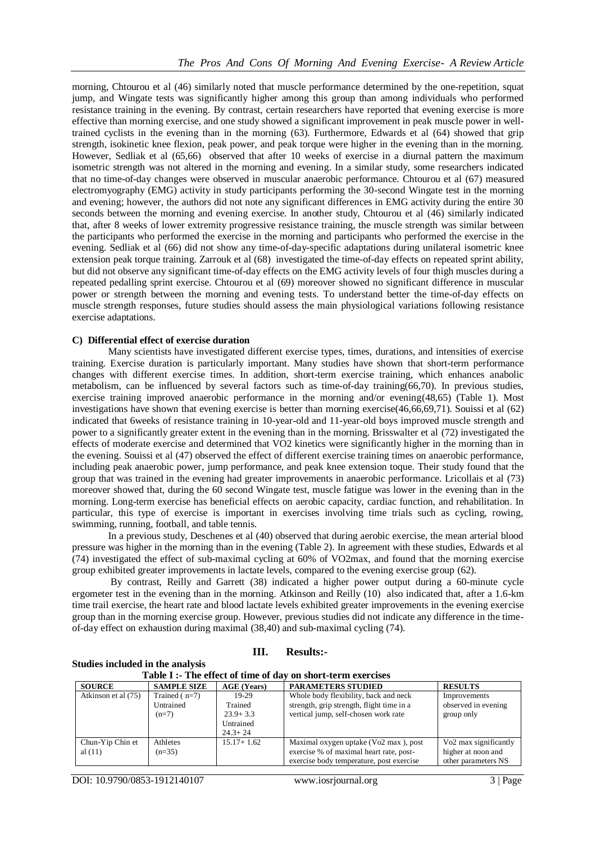morning, Chtourou et al (46) similarly noted that muscle performance determined by the one-repetition, squat jump, and Wingate tests was significantly higher among this group than among individuals who performed resistance training in the evening. By contrast, certain researchers have reported that evening exercise is more effective than morning exercise, and one study showed a significant improvement in peak muscle power in welltrained cyclists in the evening than in the morning (63). Furthermore, Edwards et al (64) showed that grip strength, isokinetic knee flexion, peak power, and peak torque were higher in the evening than in the morning. However, Sedliak et al (65,66) observed that after 10 weeks of exercise in a diurnal pattern the maximum isometric strength was not altered in the morning and evening. In a similar study, some researchers indicated that no time-of-day changes were observed in muscular anaerobic performance. Chtourou et al (67) measured electromyography (EMG) activity in study participants performing the 30-second Wingate test in the morning and evening; however, the authors did not note any significant differences in EMG activity during the entire 30 seconds between the morning and evening exercise. In another study, Chtourou et al (46) similarly indicated that, after 8 weeks of lower extremity progressive resistance training, the muscle strength was similar between the participants who performed the exercise in the morning and participants who performed the exercise in the evening. Sedliak et al (66) did not show any time-of-day-specific adaptations during unilateral isometric knee extension peak torque training. Zarrouk et al (68) investigated the time-of-day effects on repeated sprint ability, but did not observe any significant time-of-day effects on the EMG activity levels of four thigh muscles during a repeated pedalling sprint exercise. Chtourou et al (69) moreover showed no significant difference in muscular power or strength between the morning and evening tests. To understand better the time-of-day effects on muscle strength responses, future studies should assess the main physiological variations following resistance exercise adaptations.

# **C) Differential effect of exercise duration**

Many scientists have investigated different exercise types, times, durations, and intensities of exercise training. Exercise duration is particularly important. Many studies have shown that short-term performance changes with different exercise times. In addition, short-term exercise training, which enhances anabolic metabolism, can be influenced by several factors such as time-of-day training(66,70). In previous studies, exercise training improved anaerobic performance in the morning and/or evening(48,65) (Table 1). Most investigations have shown that evening exercise is better than morning exercise(46,66,69,71). Souissi et al (62) indicated that 6weeks of resistance training in 10-year-old and 11-year-old boys improved muscle strength and power to a significantly greater extent in the evening than in the morning. Brisswalter et al (72) investigated the effects of moderate exercise and determined that VO2 kinetics were significantly higher in the morning than in the evening. Souissi et al (47) observed the effect of different exercise training times on anaerobic performance, including peak anaerobic power, jump performance, and peak knee extension toque. Their study found that the group that was trained in the evening had greater improvements in anaerobic performance. Lricollais et al (73) moreover showed that, during the 60 second Wingate test, muscle fatigue was lower in the evening than in the morning. Long-term exercise has beneficial effects on aerobic capacity, cardiac function, and rehabilitation. In particular, this type of exercise is important in exercises involving time trials such as cycling, rowing, swimming, running, football, and table tennis.

In a previous study, Deschenes et al (40) observed that during aerobic exercise, the mean arterial blood pressure was higher in the morning than in the evening (Table 2). In agreement with these studies, Edwards et al (74) investigated the effect of sub-maximal cycling at 60% of VO2max, and found that the morning exercise group exhibited greater improvements in lactate levels, compared to the evening exercise group (62).

By contrast, Reilly and Garrett (38) indicated a higher power output during a 60-minute cycle ergometer test in the evening than in the morning. Atkinson and Reilly (10) also indicated that, after a 1.6-km time trail exercise, the heart rate and blood lactate levels exhibited greater improvements in the evening exercise group than in the morning exercise group. However, previous studies did not indicate any difference in the timeof-day effect on exhaustion during maximal (38,40) and sub-maximal cycling (74).

#### **III. Results:-**

| <b>Studies included in the analysis</b> |  |  |  |
|-----------------------------------------|--|--|--|
|                                         |  |  |  |

| Table I :- The effect of time of day on short-term exercises |                    |                    |                                           |                                   |  |  |  |
|--------------------------------------------------------------|--------------------|--------------------|-------------------------------------------|-----------------------------------|--|--|--|
| <b>SOURCE</b>                                                | <b>SAMPLE SIZE</b> | <b>AGE</b> (Years) | <b>PARAMETERS STUDIED</b>                 | <b>RESULTS</b>                    |  |  |  |
| Atkinson et al (75)                                          | Trained $(n=7)$    | 19-29              | Whole body flexibility, back and neck     | Improvements                      |  |  |  |
|                                                              | Untrained          | Trained            | strength, grip strength, flight time in a | observed in evening               |  |  |  |
|                                                              | $(n=7)$            | $23.9 + 3.3$       | vertical jump, self-chosen work rate      | group only                        |  |  |  |
|                                                              |                    | Untrained          |                                           |                                   |  |  |  |
|                                                              |                    | $24.3 + 24$        |                                           |                                   |  |  |  |
| Chun-Yip Chin et                                             | Athletes           | $15.17 + 1.62$     | Maximal oxygen uptake (Vo2 max), post     | Vo <sub>2</sub> max significantly |  |  |  |
| al $(11)$                                                    | $(n=35)$           |                    | exercise % of maximal heart rate, post-   | higher at noon and                |  |  |  |
|                                                              |                    |                    | exercise body temperature, post exercise  | other parameters NS               |  |  |  |

DOI: 10.9790/0853-1912140107 www.iosrjournal.org 3 | Page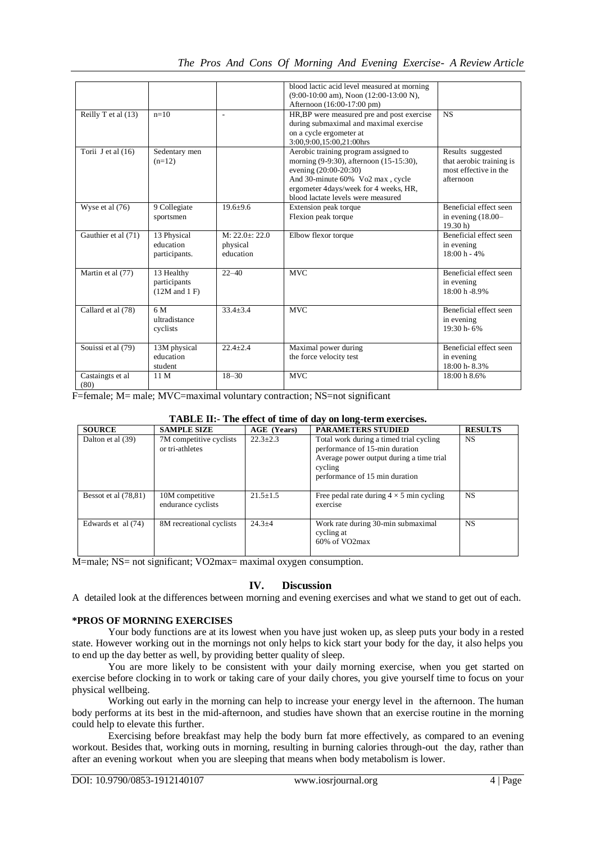|                          |                                                 |                                           | blood lactic acid level measured at morning<br>$(9:00-10:00$ am), Noon $(12:00-13:00$ N),<br>Afternoon (16:00-17:00 pm)                                                                                                     |                                                                                     |
|--------------------------|-------------------------------------------------|-------------------------------------------|-----------------------------------------------------------------------------------------------------------------------------------------------------------------------------------------------------------------------------|-------------------------------------------------------------------------------------|
| Reilly T et al (13)      | $n=10$                                          |                                           | HR, BP were measured pre and post exercise<br>during submaximal and maximal exercise<br>on a cycle ergometer at<br>3:00,9:00,15:00,21:00hrs                                                                                 | <b>NS</b>                                                                           |
| Torii $J$ et al $(16)$   | Sedentary men<br>$(n=12)$                       |                                           | Aerobic training program assigned to<br>morning (9-9:30), afternoon (15-15:30),<br>evening (20:00-20:30)<br>And 30-minute 60% Vo2 max, cycle<br>ergometer 4days/week for 4 weeks, HR,<br>blood lactate levels were measured | Results suggested<br>that aerobic training is<br>most effective in the<br>afternoon |
| Wyse et al (76)          | 9 Collegiate<br>sportsmen                       | $19.6 + 9.6$                              | Extension peak torque<br>Flexion peak torque                                                                                                                                                                                | Beneficial effect seen<br>in evening $(18.00 -$<br>19.30 h                          |
| Gauthier et al (71)      | 13 Physical<br>education<br>participants.       | $M: 22.0 + 22.0$<br>physical<br>education | Elbow flexor torque                                                                                                                                                                                                         | Beneficial effect seen<br>in evening<br>$18:00 h - 4%$                              |
| Martin et al (77)        | 13 Healthy<br>participants<br>$(12M$ and $1$ F) | $22 - 40$                                 | <b>MVC</b>                                                                                                                                                                                                                  | Beneficial effect seen<br>in evening<br>18:00 h -8.9%                               |
| Callard et al (78)       | 6 M<br>ultradistance<br>cyclists                | $33.4 + 3.4$                              | <b>MVC</b>                                                                                                                                                                                                                  | Beneficial effect seen<br>in evening<br>$19:30 h - 6%$                              |
| Souissi et al (79)       | 13M physical<br>education<br>student            | $22.4 + 2.4$                              | Maximal power during<br>the force velocity test                                                                                                                                                                             | Beneficial effect seen<br>in evening<br>18:00 h - 8.3%                              |
| Castaingts et al<br>(80) | 11 M                                            | $18 - 30$                                 | <b>MVC</b>                                                                                                                                                                                                                  | 18:00 h 8.6%                                                                        |

F=female; M= male; MVC=maximal voluntary contraction; NS=not significant

|  |  |  |  |  |  |  |  |  |  |  | TABLE II:- The effect of time of day on long-term exercises. |  |
|--|--|--|--|--|--|--|--|--|--|--|--------------------------------------------------------------|--|
|--|--|--|--|--|--|--|--|--|--|--|--------------------------------------------------------------|--|

| <b>SOURCE</b>        | <b>SAMPLE SIZE</b>                         | AGE (Years)    | <b>PARAMETERS STUDIED</b>                                                                                                                                          | <b>RESULTS</b> |
|----------------------|--------------------------------------------|----------------|--------------------------------------------------------------------------------------------------------------------------------------------------------------------|----------------|
| Dalton et al (39)    | 7M competitive cyclists<br>or tri-athletes | $22.3 \pm 2.3$ | Total work during a timed trial cycling<br>performance of 15-min duration<br>Average power output during a time trial<br>cycling<br>performance of 15 min duration | NS             |
| Bessot et al (78.81) | 10M competitive<br>endurance cyclists      | $21.5 \pm 1.5$ | Free pedal rate during $4 \times 5$ min cycling<br>exercise                                                                                                        | <b>NS</b>      |
| Edwards et al (74)   | 8M recreational cyclists                   | $24.3 + 4$     | Work rate during 30-min submaximal<br>cycling at<br>$60\%$ of VO2max                                                                                               | <b>NS</b>      |

M=male; NS= not significant; VO2max= maximal oxygen consumption.

# **IV. Discussion**

A detailed look at the differences between morning and evening exercises and what we stand to get out of each.

# **\*PROS OF MORNING EXERCISES**

Your body functions are at its lowest when you have just woken up, as sleep puts your body in a rested state. However working out in the mornings not only helps to kick start your body for the day, it also helps you to end up the day better as well, by providing better quality of sleep.

You are more likely to be consistent with your daily morning exercise, when you get started on exercise before clocking in to work or taking care of your daily chores, you give yourself time to focus on your physical wellbeing.

Working out early in the morning can help to increase your energy level in the afternoon. The human body performs at its best in the mid-afternoon, and studies have shown that an exercise routine in the morning could help to elevate this further.

Exercising before breakfast may help the body burn fat more effectively, as compared to an evening workout. Besides that, working outs in morning, resulting in burning calories through-out the day, rather than after an evening workout when you are sleeping that means when body metabolism is lower.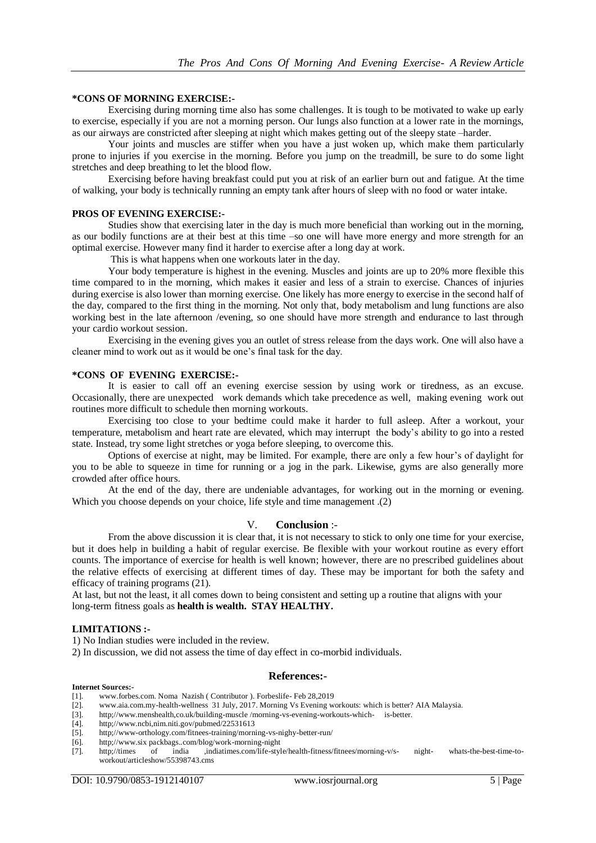## **\*CONS OF MORNING EXERCISE:-**

Exercising during morning time also has some challenges. It is tough to be motivated to wake up early to exercise, especially if you are not a morning person. Our lungs also function at a lower rate in the mornings, as our airways are constricted after sleeping at night which makes getting out of the sleepy state –harder.

Your joints and muscles are stiffer when you have a just woken up, which make them particularly prone to injuries if you exercise in the morning. Before you jump on the treadmill, be sure to do some light stretches and deep breathing to let the blood flow.

Exercising before having breakfast could put you at risk of an earlier burn out and fatigue. At the time of walking, your body is technically running an empty tank after hours of sleep with no food or water intake.

### **PROS OF EVENING EXERCISE:-**

Studies show that exercising later in the day is much more beneficial than working out in the morning, as our bodily functions are at their best at this time –so one will have more energy and more strength for an optimal exercise. However many find it harder to exercise after a long day at work.

This is what happens when one workouts later in the day.

Your body temperature is highest in the evening. Muscles and joints are up to 20% more flexible this time compared to in the morning, which makes it easier and less of a strain to exercise. Chances of injuries during exercise is also lower than morning exercise. One likely has more energy to exercise in the second half of the day, compared to the first thing in the morning. Not only that, body metabolism and lung functions are also working best in the late afternoon /evening, so one should have more strength and endurance to last through your cardio workout session.

Exercising in the evening gives you an outlet of stress release from the days work. One will also have a cleaner mind to work out as it would be one's final task for the day.

#### **\*CONS OF EVENING EXERCISE:-**

It is easier to call off an evening exercise session by using work or tiredness, as an excuse. Occasionally, there are unexpected work demands which take precedence as well, making evening work out routines more difficult to schedule then morning workouts.

Exercising too close to your bedtime could make it harder to full asleep. After a workout, your temperature, metabolism and heart rate are elevated, which may interrupt the body's ability to go into a rested state. Instead, try some light stretches or yoga before sleeping, to overcome this.

Options of exercise at night, may be limited. For example, there are only a few hour's of daylight for you to be able to squeeze in time for running or a jog in the park. Likewise, gyms are also generally more crowded after office hours.

At the end of the day, there are undeniable advantages, for working out in the morning or evening. Which you choose depends on your choice, life style and time management .(2)

#### V. **Conclusion** :-

From the above discussion it is clear that, it is not necessary to stick to only one time for your exercise, but it does help in building a habit of regular exercise. Be flexible with your workout routine as every effort counts. The importance of exercise for health is well known; however, there are no prescribed guidelines about the relative effects of exercising at different times of day. These may be important for both the safety and efficacy of training programs (21).

At last, but not the least, it all comes down to being consistent and setting up a routine that aligns with your long-term fitness goals as **health is wealth. STAY HEALTHY.**

#### **LIMITATIONS :-**

1) No Indian studies were included in the review.

2) In discussion, we did not assess the time of day effect in co-morbid individuals.

#### **References:-**

## **Internet Sources:-**

- [1]. [www.forbes.com.](http://www.forbes.com/) Noma Nazish ( Contributor ). Forbeslife- Feb 28,2019
- [2]. [www.aia.com.my-health-wellness](http://www.aia.com.my-health-wellness/) 31 July, 2017. Morning Vs Evening workouts: which is better? AIA Malaysia.
- [3]. http;//www.menshealth,co.uk/building-muscle /morning-vs-evening-workouts-which- is-better.
- [4]. http;//www.ncbi,nim.niti.gov/pubmed/22531613
- [5]. http;//www-orthology.com/fitnees-training/morning-vs-nighy-better-run/
- [6]. http;//www.six packbags..com/blog/work-morning-night
- [7]. http;//times of india ,indiatimes.com/life-style/health-fitness/fitnees/morning-v/s- night- whats-the-best-time-toworkout/articleshow/55398743.cms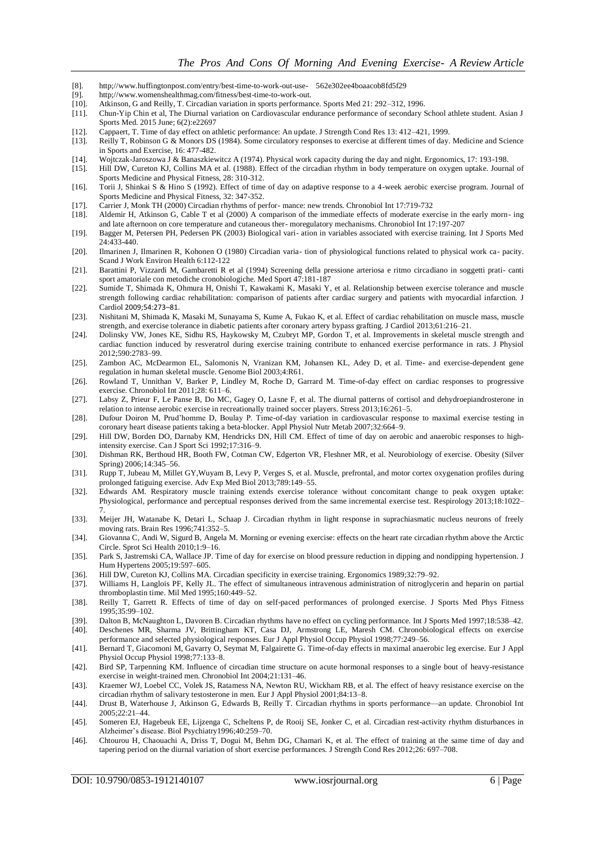- [8]. http;//www.huffingtonpost.com/entry/best-time-to-work-out-use- 562e302ee4boaacob8fd5f29
- [9]. http://www.womenshealthmag.com/fitness/best-time-to-work-out.<br>[10]. Atkinson, G and Reilly, T. Circadian variation in sports performar
- Atkinson, G and Reilly, T. Circadian variation in sports performance. Sports Med 21: 292-312, 1996.
- [11]. Chun-Yip Chin et al, The Diurnal variation on Cardiovascular endurance performance of secondary School athlete student. Asian J Sports Med. 2015 June; 6(2):e22697
- [12]. Cappaert, T. Time of day effect on athletic performance: An update. J Strength Cond Res 13: 412–421, 1999.
- [13]. Reilly T, Robinson G & Monors DS (1984). Some circulatory responses to exercise at different times of day. Medicine and Science in Sports and Exercise, 16: 477-482.
- [14]. Wojtczak-Jaroszowa J & Banaszkiewitcz A (1974). Physical work capacity during the day and night. Ergonomics, 17: 193-198.
- [15]. Hill DW, Cureton KJ, Collins MA et al. (1988). Effect of the circadian rhythm in body temperature on oxygen uptake. Journal of Sports Medicine and Physical Fitness, 28: 310-312.
- [16]. Torii J, Shinkai S & Hino S (1992). Effect of time of day on adaptive response to a 4-week aerobic exercise program. Journal of Sports Medicine and Physical Fitness, 32: 347-352.
- 
- [17]. Carrier J, Monk TH (2000) Circadian rhythms of perfor- mance: new trends. Chronobiol Int 17:719-732 [18]. Aldemir H, Atkinson G, Cable T et al (2000) A comparison of the immediate effects of moderate exe [18]. Aldemir H, Atkinson G, Cable T et al (2000) A comparison of the immediate effects of moderate exercise in the early morn- ing and late afternoon on core temperature and cutaneous ther- moregulatory mechanisms. Chronobiol Int 17:197-207
- [19]. Bagger M, Petersen PH, Pedersen PK (2003) Biological vari- ation in variables associated with exercise training. Int J Sports Med 24:433-440.
- [20]. Ilmarinen J, Ilmarinen R, Kohonen O (1980) Circadian varia- tion of physiological functions related to physical work ca- pacity. Scand J Work Environ Health 6:112-122
- [21]. Barattini P, Vizzardi M, Gambaretti R et al (1994) Screening della pressione arteriosa e ritmo circadiano in soggetti prati- canti sport amatoriale con metodiche cronobiologiche. Med Sport 47:181-187
- [22]. Sumide T, Shimada K, Ohmura H, Onishi T, Kawakami K, Masaki Y, et al. Relationship between exercise tolerance and muscle strength following cardiac rehabilitation: comparison of patients after cardiac surgery and patients with myocardial infarction. J Cardiol 2009;54:273–81.
- [23]. Nishitani M, Shimada K, Masaki M, Sunayama S, Kume A, Fukao K, et al. Effect of cardiac rehabilitation on muscle mass, muscle strength, and exercise tolerance in diabetic patients after coronary artery bypass grafting. J Cardiol 2013;61:216–21.
- [24]. Dolinsky VW, Jones KE, Sidhu RS, Haykowsky M, Czubryt MP, Gordon T, et al. Improvements in skeletal muscle strength and cardiac function induced by resveratrol during exercise training contribute to enhanced exercise performance in rats. J Physiol 2012;590:2783–99.
- [25]. Zambon AC, McDearmon EL, Salomonis N, Vranizan KM, Johansen KL, Adey D, et al. Time- and exercise-dependent gene regulation in human skeletal muscle. Genome Biol 2003;4:R61.
- [26]. Rowland T, Unnithan V, Barker P, Lindley M, Roche D, Garrard M. Time-of-day effect on cardiac responses to progressive exercise. Chronobiol Int 2011;28: 611–6.
- [27]. Labsy Z, Prieur F, Le Panse B, Do MC, Gagey O, Lasne F, et al. The diurnal patterns of cortisol and dehydroepiandrosterone in relation to intense aerobic exercise in recreationally trained soccer players. Stress 2013;16:261–5.
- [28]. Dufour Doiron M, Prud'homme D, Boulay P. Time-of-day variation in cardiovascular response to maximal exercise testing in coronary heart disease patients taking a beta-blocker. Appl Physiol Nutr Metab 2007;32:664–9.
- [29]. Hill DW, Borden DO, Darnaby KM, Hendricks DN, Hill CM. Effect of time of day on aerobic and anaerobic responses to highintensity exercise. Can J Sport Sci 1992;17:316–9.
- [30]. Dishman RK, Berthoud HR, Booth FW, Cotman CW, Edgerton VR, Fleshner MR, et al. Neurobiology of exercise. Obesity (Silver Spring) 2006;14:345–56.
- [31]. Rupp T, Jubeau M, Millet GY,Wuyam B, Levy P, Verges S, et al. Muscle, prefrontal, and motor cortex oxygenation profiles during prolonged fatiguing exercise. Adv Exp Med Biol 2013;789:149–55.
- [32]. Edwards AM. Respiratory muscle training extends exercise tolerance without concomitant change to peak oxygen uptake: Physiological, performance and perceptual responses derived from the same incremental exercise test. Respirology 2013;18:1022– 7.
- [33]. Meijer JH, Watanabe K, Detari L, Schaap J. Circadian rhythm in light response in suprachiasmatic nucleus neurons of freely moving rats. Brain Res 1996;741:352–5.
- [34]. Giovanna C, Andi W, Sigurd B, Angela M. Morning or evening exercise: effects on the heart rate circadian rhythm above the Arctic Circle. Sprot Sci Health 2010;1:9–16.
- [35]. Park S, Jastremski CA, Wallace JP. Time of day for exercise on blood pressure reduction in dipping and nondipping hypertension. J Hum Hypertens 2005;19:597–605.
- [36]. Hill DW, Cureton KJ, Collins MA. Circadian specificity in exercise training. Ergonomics 1989;32:79–92.
- [37]. Williams H, Langlois PF, Kelly JL. The effect of simultaneous intravenous administration of nitroglycerin and heparin on partial thromboplastin time. Mil Med 1995;160:449–52.
- [38]. Reilly T, Garrett R. Effects of time of day on self-paced performances of prolonged exercise. J Sports Med Phys Fitness 1995;35:99–102.
- [39]. Dalton B, McNaughton L, Davoren B. Circadian rhythms have no effect on cycling performance. Int J Sports Med 1997;18:538–42.
- [40]. Deschenes MR, Sharma JV, Brittingham KT, Casa DJ, Armstrong LE, Maresh CM. Chronobiological effects on exercise performance and selected physiological responses. Eur J Appl Physiol Occup Physiol 1998;77:249–56.
- [41]. Bernard T, Giacomoni M, Gavarry O, Seymat M, Falgairette G. Time-of-day effects in maximal anaerobic leg exercise. Eur J Appl Physiol Occup Physiol 1998;77:133–8.
- [42]. Bird SP, Tarpenning KM. Influence of circadian time structure on acute hormonal responses to a single bout of heavy-resistance exercise in weight-trained men. Chronobiol Int 2004;21:131–46.
- [43]. Kraemer WJ, Loebel CC, Volek JS, Ratamess NA, Newton RU, Wickham RB, et al. The effect of heavy resistance exercise on the circadian rhythm of salivary testosterone in men. Eur J Appl Physiol 2001;84:13–8.
- [44]. Drust B, Waterhouse J, Atkinson G, Edwards B, Reilly T. Circadian rhythms in sports performance—an update. Chronobiol Int 2005;22:21–44.
- [45]. Someren EJ, Hagebeuk EE, Lijzenga C, Scheltens P, de Rooij SE, Jonker C, et al. Circadian rest-activity rhythm disturbances in Alzheimer's disease. Biol Psychiatry1996;40:259–70.
- [46]. Chtourou H, Chaouachi A, Driss T, Dogui M, Behm DG, Chamari K, et al. The effect of training at the same time of day and tapering period on the diurnal variation of short exercise performances. J Strength Cond Res 2012;26: 697–708.